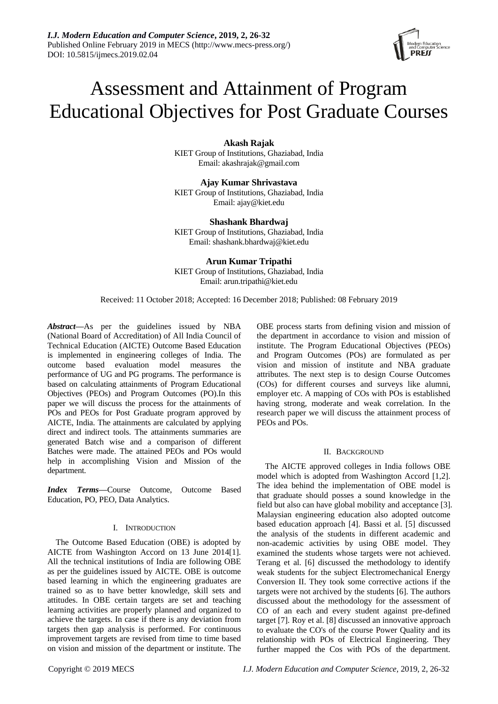# Assessment and Attainment of Program Educational Objectives for Post Graduate Courses

**Akash Rajak** KIET Group of Institutions, Ghaziabad, India Email: akashrajak@gmail.com

**Ajay Kumar Shrivastava** KIET Group of Institutions, Ghaziabad, India Email: ajay@kiet.edu

**Shashank Bhardwaj** KIET Group of Institutions, Ghaziabad, India Email: shashank.bhardwaj@kiet.edu

**Arun Kumar Tripathi**

KIET Group of Institutions, Ghaziabad, India Email: arun.tripathi@kiet.edu

Received: 11 October 2018; Accepted: 16 December 2018; Published: 08 February 2019

*Abstract—*As per the guidelines issued by NBA (National Board of Accreditation) of All India Council of Technical Education (AICTE) Outcome Based Education is implemented in engineering colleges of India. The outcome based evaluation model measures the performance of UG and PG programs. The performance is based on calculating attainments of Program Educational Objectives (PEOs) and Program Outcomes (PO).In this paper we will discuss the process for the attainments of POs and PEOs for Post Graduate program approved by AICTE, India. The attainments are calculated by applying direct and indirect tools. The attainments summaries are generated Batch wise and a comparison of different Batches were made. The attained PEOs and POs would help in accomplishing Vision and Mission of the department.

*Index Terms—*Course Outcome, Outcome Based Education, PO, PEO, Data Analytics.

## I. INTRODUCTION

The Outcome Based Education (OBE) is adopted by AICTE from Washington Accord on 13 June 2014[1]. All the technical institutions of India are following OBE as per the guidelines issued by AICTE. OBE is outcome based learning in which the engineering graduates are trained so as to have better knowledge, skill sets and attitudes. In OBE certain targets are set and teaching learning activities are properly planned and organized to achieve the targets. In case if there is any deviation from targets then gap analysis is performed. For continuous improvement targets are revised from time to time based on vision and mission of the department or institute. The OBE process starts from defining vision and mission of the department in accordance to vision and mission of institute. The Program Educational Objectives (PEOs) and Program Outcomes (POs) are formulated as per vision and mission of institute and NBA graduate attributes. The next step is to design Course Outcomes (COs) for different courses and surveys like alumni, employer etc. A mapping of COs with POs is established having strong, moderate and weak correlation. In the research paper we will discuss the attainment process of PEOs and POs.

# II. BACKGROUND

The AICTE approved colleges in India follows OBE model which is adopted from Washington Accord [1,2]. The idea behind the implementation of OBE model is that graduate should posses a sound knowledge in the field but also can have global mobility and acceptance [3]. Malaysian engineering education also adopted outcome based education approach [4]. Bassi et al. [5] discussed the analysis of the students in different academic and non-academic activities by using OBE model. They examined the students whose targets were not achieved. Terang et al. [6] discussed the methodology to identify weak students for the subject Electromechanical Energy Conversion II. They took some corrective actions if the targets were not archived by the students [6]. The authors discussed about the methodology for the assessment of CO of an each and every student against pre-defined target [7]. Roy et al. [8] discussed an innovative approach to evaluate the CO's of the course Power Quality and its relationship with POs of Electrical Engineering. They further mapped the Cos with POs of the department.

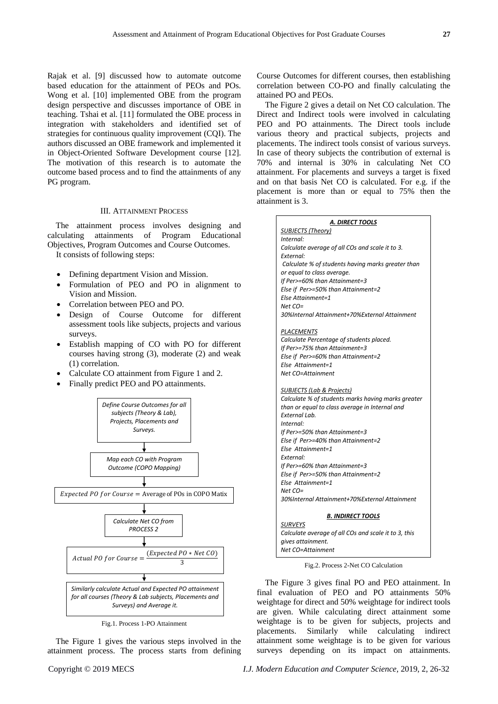Rajak et al. [9] discussed how to automate outcome based education for the attainment of PEOs and POs. Wong et al. [10] implemented OBE from the program design perspective and discusses importance of OBE in teaching. Tshai et al. [11] formulated the OBE process in integration with stakeholders and identified set of strategies for continuous quality improvement (CQI). The authors discussed an OBE framework and implemented it in Object-Oriented Software Development course [12]. The motivation of this research is to automate the outcome based process and to find the attainments of any PG program.

# III. ATTAINMENT PROCESS

The attainment process involves designing and calculating attainments of Program Educational Objectives, Program Outcomes and Course Outcomes.

It consists of following steps:

- Defining department Vision and Mission.
- Formulation of PEO and PO in alignment to Vision and Mission.
- Correlation between PEO and PO.
- Design of Course Outcome for different assessment tools like subjects, projects and various surveys.
- Establish mapping of CO with PO for different courses having strong (3), moderate (2) and weak (1) correlation.
- Calculate CO attainment from Figure 1 and 2.
- Finally predict PEO and PO attainments.



Fig.1. Process 1-PO Attainment

The Figure 1 gives the various steps involved in the attainment process. The process starts from defining

Course Outcomes for different courses, then establishing correlation between CO-PO and finally calculating the attained PO and PEOs.

The Figure 2 gives a detail on Net CO calculation. The Direct and Indirect tools were involved in calculating PEO and PO attainments. The Direct tools include various theory and practical subjects, projects and placements. The indirect tools consist of various surveys. In case of theory subjects the contribution of external is 70% and internal is 30% in calculating Net CO attainment. For placements and surveys a target is fixed and on that basis Net CO is calculated. For e.g. if the placement is more than or equal to 75% then the attainment is 3.

| A. DIRECT TOOLS                                      |
|------------------------------------------------------|
| <b>SUBJECTS (Theory)</b>                             |
| Internal:                                            |
| Calculate average of all COs and scale it to 3.      |
| External:                                            |
| Calculate % of students having marks greater than    |
| or equal to class average.                           |
| If Per>=60% than Attainment=3                        |
| Else if Per>=50% than Attainment=2                   |
| Else Attainment=1                                    |
| $Net CO=$                                            |
| 30%Internal Attainment+70%External Attainment        |
|                                                      |
| PLACEMENTS                                           |
| Calculate Percentage of students placed.             |
| If Per>=75% than Attainment=3                        |
| Else if Per>=60% than Attainment=2                   |
| Else Attainment=1                                    |
| Net CO=Attainment                                    |
| SUBJECTS (Lab & Projects)                            |
| Calculate % of students marks having marks greater   |
| than or equal to class average in Internal and       |
| External Lab.                                        |
| Internal:                                            |
| If Per>=50% than Attainment=3                        |
| Else if Per>=40% than Attainment=2                   |
| Else Attainment=1                                    |
| External:                                            |
| If Per>=60% than Attainment=3                        |
| Else if Per>=50% than Attainment=2                   |
| Else Attainment=1                                    |
| $Net CO=$                                            |
| 30%Internal Attainment+70%External Attainment        |
|                                                      |
| B. INDIRECT TOOLS<br><b>SURVEYS</b>                  |
| Calculate average of all COs and scale it to 3, this |
| gives attainment.                                    |
|                                                      |

Fig.2. Process 2-Net CO Calculation

*Net CO=Attainment*

The Figure 3 gives final PO and PEO attainment. In final evaluation of PEO and PO attainments 50% weightage for direct and 50% weightage for indirect tools are given. While calculating direct attainment some weightage is to be given for subjects, projects and placements. Similarly while calculating indirect attainment some weightage is to be given for various surveys depending on its impact on attainments.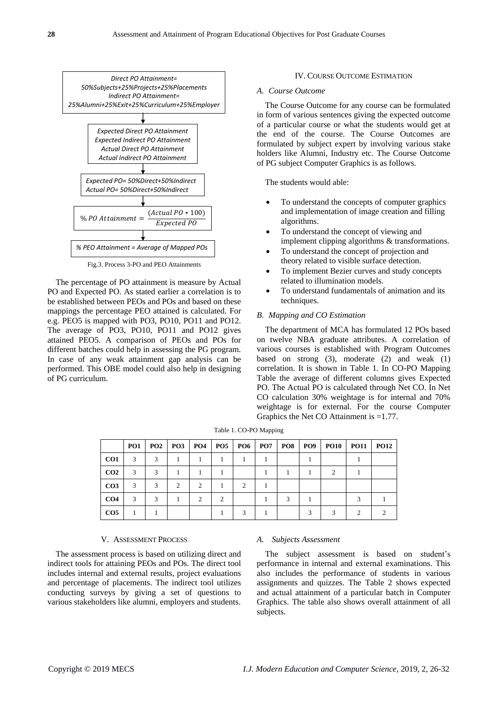

Fig.3. Process 3-PO and PEO Attainments

The percentage of PO attainment is measure by Actual PO and Expected PO. As stated earlier a correlation is to be established between PEOs and POs and based on these mappings the percentage PEO attained is calculated. For e.g. PEO5 is mapped with PO3, PO10, PO11 and PO12. The average of PO3, PO10, PO11 and PO12 gives attained PEO5. A comparison of PEOs and POs for different batches could help in assessing the PG program. In case of any weak attainment gap analysis can be performed. This OBE model could also help in designing of PG curriculum.

#### IV. COURSE OUTCOME ESTIMATION

## *A. Course Outcome*

The Course Outcome for any course can be formulated in form of various sentences giving the expected outcome of a particular course or what the students would get at the end of the course. The Course Outcomes are formulated by subject expert by involving various stake holders like Alumni, Industry etc. The Course Outcome of PG subject Computer Graphics is as follows.

The students would able:

- To understand the concepts of computer graphics and implementation of image creation and filling algorithms.
- To understand the concept of viewing and implement clipping algorithms & transformations.
- To understand the concept of projection and theory related to visible surface detection.
- To implement Bezier curves and study concepts related to illumination models.
- To understand fundamentals of animation and its techniques.

# *B. Mapping and CO Estimation*

The department of MCA has formulated 12 POs based on twelve NBA graduate attributes. A correlation of various courses is established with Program Outcomes based on strong (3), moderate (2) and weak (1) correlation. It is shown in Table 1. In CO-PO Mapping Table the average of different columns gives Expected PO. The Actual PO is calculated through Net CO. In Net CO calculation 30% weightage is for internal and 70% weightage is for external. For the course Computer Graphics the Net CO Attainment is =1.77.

|                 | PO <sub>1</sub> | <b>PO2</b> | $PO3$ $PO4$                   |               | PO5           |   | <b>PO6 PO7</b> | PO8 | <b>PO9</b> | <b>PO10</b> | <b>PO11</b> | <b>PO12</b> |
|-----------------|-----------------|------------|-------------------------------|---------------|---------------|---|----------------|-----|------------|-------------|-------------|-------------|
| CO <sub>1</sub> | 3               | 3          |                               |               |               |   |                |     |            |             |             |             |
| CO <sub>2</sub> | 3               | 3          |                               |               |               |   |                |     |            | 2           |             |             |
| CO <sub>3</sub> | 3               | 3          | $\mathfrak{D}_{\mathfrak{p}}$ | $\mathcal{L}$ |               | 2 |                |     |            |             |             |             |
| CO <sub>4</sub> | 3               | 3          |                               | $\mathcal{D}$ | $\mathcal{D}$ |   |                | 3   |            |             |             |             |
| CO <sub>5</sub> |                 |            |                               |               |               |   |                |     |            |             |             |             |

Table 1. CO-PO Mapping

## V. ASSESSMENT PROCESS

The assessment process is based on utilizing direct and indirect tools for attaining PEOs and POs. The direct tool includes internal and external results, project evaluations and percentage of placements. The indirect tool utilizes conducting surveys by giving a set of questions to various stakeholders like alumni, employers and students.

#### *A. Subjects Assessment*

The subject assessment is based on student's performance in internal and external examinations. This also includes the performance of students in various assignments and quizzes. The Table 2 shows expected and actual attainment of a particular batch in Computer Graphics. The table also shows overall attainment of all subjects.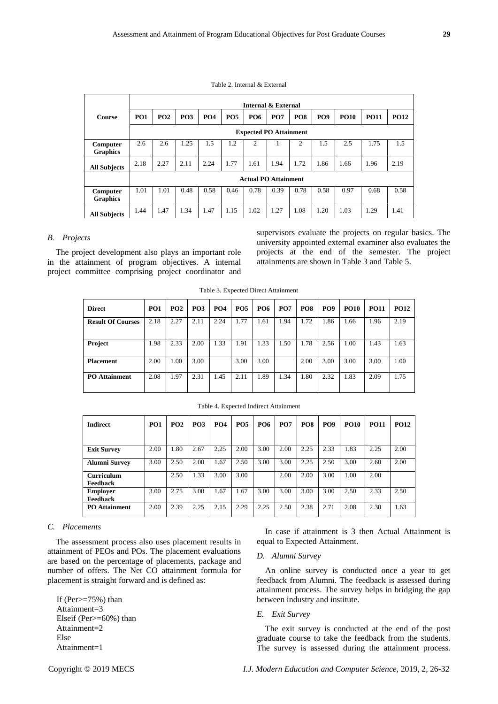|                             |                               | Internal & External |                 |                 |            |            |                             |                 |            |             |             |             |  |  |  |
|-----------------------------|-------------------------------|---------------------|-----------------|-----------------|------------|------------|-----------------------------|-----------------|------------|-------------|-------------|-------------|--|--|--|
| <b>Course</b>               | PO <sub>1</sub>               | PO2                 | PO <sub>3</sub> | PO <sub>4</sub> | <b>PO5</b> | <b>PO6</b> | <b>PO7</b>                  | PO <sub>8</sub> | <b>PO9</b> | <b>PO10</b> | <b>PO11</b> | <b>PO12</b> |  |  |  |
|                             | <b>Expected PO Attainment</b> |                     |                 |                 |            |            |                             |                 |            |             |             |             |  |  |  |
| Computer<br><b>Graphics</b> | 2.6                           | 2.6                 | 1.25            | 1.5             | 1.2        | 2          |                             | 2               | 1.5        | 2.5         | 1.75        | 1.5         |  |  |  |
| <b>All Subjects</b>         | 2.18                          | 2.27                | 2.11            | 2.24            | 1.77       | 1.61       | 1.94                        | 1.72            | 1.86       | 1.66        | 1.96        | 2.19        |  |  |  |
|                             |                               |                     |                 |                 |            |            | <b>Actual PO Attainment</b> |                 |            |             |             |             |  |  |  |
| Computer<br><b>Graphics</b> | 1.01                          | 1.01                | 0.48            | 0.58            | 0.46       | 0.78       | 0.39                        | 0.78            | 0.58       | 0.97        | 0.68        | 0.58        |  |  |  |
| <b>All Subjects</b>         | 1.44                          | 1.47                | 1.34            | 1.47            | 1.15       | 1.02       | 1.27                        | 1.08            | 1.20       | 1.03        | 1.29        | 1.41        |  |  |  |

Table 2. Internal & External

# *B. Projects*

The project development also plays an important role in the attainment of program objectives. A internal project committee comprising project coordinator and

supervisors evaluate the projects on regular basics. The university appointed external examiner also evaluates the projects at the end of the semester. The project attainments are shown in Table 3 and Table 5.

|  |  |  |  | Table 3. Expected Direct Attainment |
|--|--|--|--|-------------------------------------|
|--|--|--|--|-------------------------------------|

| <b>Direct</b>            | PO <sub>1</sub> | <b>PO2</b> | <b>PO3</b> | <b>PO4</b> | <b>PO5</b> | <b>PO6</b> | <b>PO7</b> | PO <sub>8</sub> | <b>PO9</b> | <b>PO10</b> | <b>PO11</b> | <b>PO12</b> |
|--------------------------|-----------------|------------|------------|------------|------------|------------|------------|-----------------|------------|-------------|-------------|-------------|
| <b>Result Of Courses</b> | 2.18            | 2.27       | 2.11       | 2.24       | 1.77       | 1.61       | 1.94       | 1.72            | 1.86       | 1.66        | 1.96        | 2.19        |
| Project                  | 1.98            | 2.33       | 2.00       | 1.33       | 1.91       | 1.33       | 1.50       | 1.78            | 2.56       | 1.00        | 1.43        | 1.63        |
| <b>Placement</b>         | 2.00            | 1.00       | 3.00       |            | 3.00       | 3.00       |            | 2.00            | 3.00       | 3.00        | 3.00        | 1.00        |
| <b>PO</b> Attainment     | 2.08            | 1.97       | 2.31       | 1.45       | 2.11       | 1.89       | 1.34       | 1.80            | 2.32       | 1.83        | 2.09        | 1.75        |

Table 4. Expected Indirect Attainment

| <b>Indirect</b>                      | PO <sub>1</sub> | PO2  | <b>PO3</b> | <b>PO4</b> | <b>PO5</b> | <b>PO6</b> | PO <sub>7</sub> | <b>PO8</b> | <b>PO9</b> | <b>PO10</b> | <b>PO11</b> | <b>PO12</b> |
|--------------------------------------|-----------------|------|------------|------------|------------|------------|-----------------|------------|------------|-------------|-------------|-------------|
| <b>Exit Survey</b>                   | 2.00            | 1.80 | 2.67       | 2.25       | 2.00       | 3.00       | 2.00            | 2.25       | 2.33       | 1.83        | 2.25        | 2.00        |
| <b>Alumni Survey</b>                 | 3.00            | 2.50 | 2.00       | 1.67       | 2.50       | 3.00       | 3.00            | 2.25       | 2.50       | 3.00        | 2.60        | 2.00        |
| <b>Curriculum</b><br><b>Feedback</b> |                 | 2.50 | 1.33       | 3.00       | 3.00       |            | 2.00            | 2.00       | 3.00       | 1.00        | 2.00        |             |
| <b>Employer</b><br>Feedback          | 3.00            | 2.75 | 3.00       | 1.67       | 1.67       | 3.00       | 3.00            | 3.00       | 3.00       | 2.50        | 2.33        | 2.50        |
| <b>PO</b> Attainment                 | 2.00            | 2.39 | 2.25       | 2.15       | 2.29       | 2.25       | 2.50            | 2.38       | 2.71       | 2.08        | 2.30        | 1.63        |

# *C. Placements*

The assessment process also uses placement results in attainment of PEOs and POs. The placement evaluations are based on the percentage of placements, package and number of offers. The Net CO attainment formula for placement is straight forward and is defined as:

If  $(Per \ge 75\%)$  than Attainment=3 Elseif (Per>=60%) than Attainment=2 Else Attainment=1

In case if attainment is 3 then Actual Attainment is equal to Expected Attainment.

# *D. Alumni Survey*

An online survey is conducted once a year to get feedback from Alumni. The feedback is assessed during attainment process. The survey helps in bridging the gap between industry and institute.

#### *E. Exit Survey*

The exit survey is conducted at the end of the post graduate course to take the feedback from the students. The survey is assessed during the attainment process.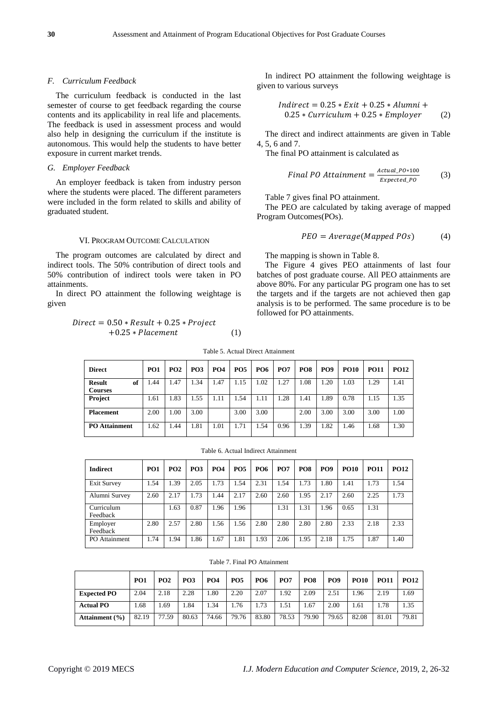#### *F. Curriculum Feedback*

The curriculum feedback is conducted in the last semester of course to get feedback regarding the course contents and its applicability in real life and placements. The feedback is used in assessment process and would also help in designing the curriculum if the institute is autonomous. This would help the students to have better exposure in current market trends.

## *G. Employer Feedback*

An employer feedback is taken from industry person where the students were placed. The different parameters were included in the form related to skills and ability of graduated student.

#### VI. PROGRAM OUTCOME CALCULATION

The program outcomes are calculated by direct and indirect tools. The 50% contribution of direct tools and 50% contribution of indirect tools were taken in PO attainments.

In direct PO attainment the following weightage is given

$$
Direct = 0.50 * Result + 0.25 * Project +0.25 * Placement
$$
 (1)

In indirect PO attainment the following weightage is given to various surveys

$$
Indirect = 0.25 * Exit + 0.25 * Alumni +0.25 * Curriculum + 0.25 * Employer
$$
 (2)

The direct and indirect attainments are given in Table 4, 5, 6 and 7.

The final PO attainment is calculated as

$$
Final\,PO\,Attainment = \frac{Actual\_Po * 100}{Expected\_Po} \tag{3}
$$

Table 7 gives final PO attainment.

The PEO are calculated by taking average of mapped Program Outcomes(POs).

$$
PEO = Average(Mapped POS)
$$
 (4)

The mapping is shown in Table 8.

The Figure 4 gives PEO attainments of last four batches of post graduate course. All PEO attainments are above 80%. For any particular PG program one has to set the targets and if the targets are not achieved then gap analysis is to be performed. The same procedure is to be followed for PO attainments.

| <b>Direct</b>                         | <b>PO1</b> | PO2  | PO <sub>3</sub> | PO <sub>4</sub> | <b>PO5</b> | <b>PO6</b> | <b>PO7</b> | PO <sub>8</sub> | PO <sub>9</sub> | <b>PO10</b> | <b>PO11</b> | <b>PO12</b> |
|---------------------------------------|------------|------|-----------------|-----------------|------------|------------|------------|-----------------|-----------------|-------------|-------------|-------------|
| of<br><b>Result</b><br><b>Courses</b> | .44        | 1.47 | .34             | 1.47            | .15        | 1.02       | .27        | 1.08            | .20             | 1.03        | . 29        | 1.41        |
| <b>Project</b>                        | 1.61       | l.83 | .55             | 1.11            | .54        | 1.11       | .28        | 1.41            | .89             | 0.78        | 1.15        | 1.35        |
| <b>Placement</b>                      | 2.00       | 1.00 | 3.00            |                 | 3.00       | 3.00       |            | 2.00            | 3.00            | 3.00        | 3.00        | 1.00        |
| <b>PO</b> Attainment                  | 1.62       | . 44 | 1.81            | 1.01            | 1.71       | 1.54       | 0.96       | 1.39            | .82             | 1.46        | 1.68        | 1.30        |

Table 5. Actual Direct Attainment

Table 6. Actual Indirect Attainment

| Indirect               | PO <sub>1</sub> | PO <sub>2</sub> | PO <sub>3</sub> | <b>PO4</b> | PO <sub>5</sub> | <b>PO6</b> | <b>PO7</b> | PO <sub>8</sub> | <b>PO9</b> | <b>PO10</b> | <b>PO11</b> | <b>PO12</b> |
|------------------------|-----------------|-----------------|-----------------|------------|-----------------|------------|------------|-----------------|------------|-------------|-------------|-------------|
| <b>Exit Survey</b>     | .54             | 1.39            | 2.05            | 1.73       | 1.54            | 2.31       | 1.54       | 1.73            | 1.80       | 1.41        | 1.73        | 1.54        |
| Alumni Survey          | 2.60            | 2.17            | . 73            | 1.44       | 2.17            | 2.60       | 2.60       | 1.95            | 2.17       | 2.60        | 2.25        | 1.73        |
| Curriculum<br>Feedback |                 | 1.63            | 0.87            | 1.96       | 1.96            |            | 1.31       | 1.31            | 1.96       | 0.65        | 1.31        |             |
| Employer<br>Feedback   | 2.80            | 2.57            | 2.80            | 1.56       | 1.56            | 2.80       | 2.80       | 2.80            | 2.80       | 2.33        | 2.18        | 2.33        |
| PO Attainment          | 1.74            | 1.94            | .86             | 1.67       | 1.81            | 1.93       | 2.06       | 1.95            | 2.18       | 1.75        | 1.87        | 1.40        |

|  |  |  | Table 7. Final PO Attainment |  |
|--|--|--|------------------------------|--|
|--|--|--|------------------------------|--|

|                    | PO <sub>1</sub> | PO <sub>2</sub> | <b>PO3</b> | PO <sub>4</sub> | <b>PO5</b> | <b>PO6</b> | <b>PO7</b> | PO <sub>8</sub> | PO <sub>9</sub> | <b>PO10</b> | <b>PO11</b> | <b>PO12</b> |
|--------------------|-----------------|-----------------|------------|-----------------|------------|------------|------------|-----------------|-----------------|-------------|-------------|-------------|
| <b>Expected PO</b> | 2.04            | 2.18            | 2.28       | $1.80^{\circ}$  | 2.20       | 2.07       | 1.92       | 2.09            | 2.51            | .96         | 2.19        | 1.69        |
| <b>Actual PO</b>   | .68             | 1.69            | 1.84       | 1.34            | 1.76       | 1.73       | 1.51       | 1.67            | 2.00            | 1.61        | 1.78        | 1.35        |
| Attainment $(\% )$ | 82.19           | 77.59           | 80.63      | 74.66           | 79.76      | 83.80      | 78.53      | 79.90           | 79.65           | 82.08       | 81.01       | 79.81       |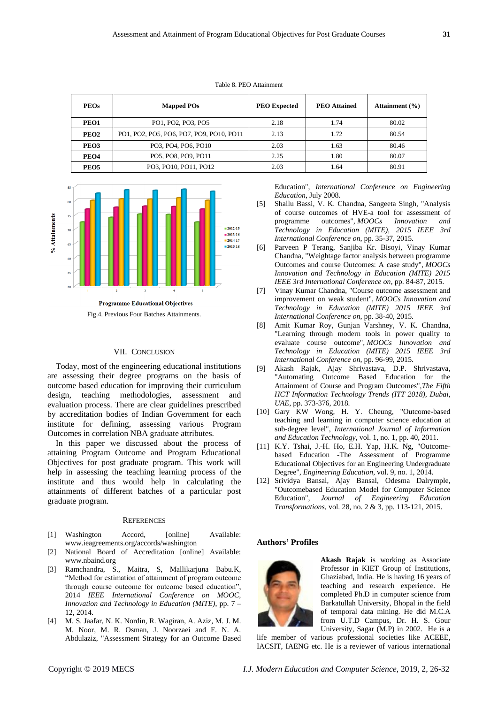| <b>PEOs</b>      | <b>Mapped POs</b>                        | <b>PEO</b> Expected | <b>PEO</b> Attained | Attainment $(\% )$ |
|------------------|------------------------------------------|---------------------|---------------------|--------------------|
| PEO1             | PO1, PO2, PO3, PO5                       | 2.18                | 1.74                | 80.02              |
| PEO <sub>2</sub> | PO1, PO2, PO5, PO6, PO7, PO9, PO10, PO11 | 2.13                | 1.72                | 80.54              |
| PEO <sub>3</sub> | PO3, PO4, PO6, PO10                      | 2.03                | 1.63                | 80.46              |
| PEO4             | PO5, PO8, PO9, PO11                      | 2.25                | 1.80                | 80.07              |
| PEO <sub>5</sub> | PO3. PO10. PO11. PO12                    | 2.03                | 1.64                | 80.91              |





Fig.4. Previous Four Batches Attainments.

#### VII. CONCLUSION

Today, most of the engineering educational institutions are assessing their degree programs on the basis of outcome based education for improving their curriculum design, teaching methodologies, assessment and evaluation process. There are clear guidelines prescribed by accreditation bodies of Indian Government for each institute for defining, assessing various Program Outcomes in correlation NBA graduate attributes.

In this paper we discussed about the process of attaining Program Outcome and Program Educational Objectives for post graduate program. This work will help in assessing the teaching learning process of the institute and thus would help in calculating the attainments of different batches of a particular post graduate program.

#### **REFERENCES**

- [1] Washington Accord, [online] Available: www.ieagreements.org/accords/washington
- [2] National Board of Accreditation [online] Available: www.nbaind.org
- [3] Ramchandra, S., Maitra, S, Mallikarjuna Babu.K, "Method for estimation of attainment of program outcome through course outcome for outcome based education", 2014 *IEEE International Conference on MOOC, Innovation and Technology in Education (MITE)*, pp. 7 – 12, 2014.
- [4] M. S. Jaafar, N. K. Nordin, R. Wagiran, A. Aziz, M. J. M. M. Noor, M. R. Osman, J. Noorzaei and F. N. A. Abdulaziz, "Assessment Strategy for an Outcome Based

Education", *International Conference on Engineering Education*, July 2008.

- [5] Shallu Bassi, V. K. Chandna, Sangeeta Singh, "Analysis of course outcomes of HVE-a tool for assessment of programme outcomes", *MOOCs Innovation and Technology in Education (MITE), 2015 IEEE 3rd International Conference on*, pp. 35-37, 2015.
- [6] Parveen P Terang, Sanjiba Kr. Bisoyi, Vinay Kumar Chandna, "Weightage factor analysis between programme Outcomes and course Outcomes: A case study", *MOOCs Innovation and Technology in Education (MITE) 2015 IEEE 3rd International Conference on*, pp. 84-87, 2015.
- [7] Vinay Kumar Chandna, "Course outcome assessment and improvement on weak student", *MOOCs Innovation and Technology in Education (MITE) 2015 IEEE 3rd International Conference on*, pp. 38-40, 2015.
- [8] Amit Kumar Roy, Gunjan Varshney, V. K. Chandna, "Learning through modern tools in power quality to evaluate course outcome", *MOOCs Innovation and Technology in Education (MITE) 2015 IEEE 3rd International Conference on*, pp. 96-99, 2015.
- [9] Akash Rajak, Ajay Shrivastava, D.P. Shrivastava, "Automating Outcome Based Education for the Attainment of Course and Program Outcomes",*The Fifth HCT Information Technology Trends (ITT 2018), Dubai, UAE*, pp. 373-376, 2018.
- [10] Gary KW Wong, H. Y. Cheung, "Outcome-based teaching and learning in computer science education at sub-degree level", *International Journal of Information and Education Technology*, vol. 1, no. 1, pp. 40, 2011.
- [11] K.Y. Tshai, J.-H. Ho, E.H. Yap, H.K. Ng, "Outcomebased Education -The Assessment of Programme Educational Objectives for an Engineering Undergraduate Degree", *Engineering Education*, vol. 9, no. 1, 2014.
- [12] Srividya Bansal, Ajay Bansal, Odesma Dalrymple, "Outcomebased Education Model for Computer Science Education", *Journal of Engineering Education Transformations*, vol. 28, no. 2 & 3, pp. 113-121, 2015.

#### **Authors' Profiles**



**Akash Rajak** is working as Associate Professor in KIET Group of Institutions, Ghaziabad, India. He is having 16 years of teaching and research experience. He completed Ph.D in computer science from Barkatullah University, Bhopal in the field of temporal data mining. He did M.C.A from U.T.D Campus, Dr. H. S. Gour University, Sagar (M.P) in 2002. He is a

life member of various professional societies like ACEEE, IACSIT, IAENG etc. He is a reviewer of various international